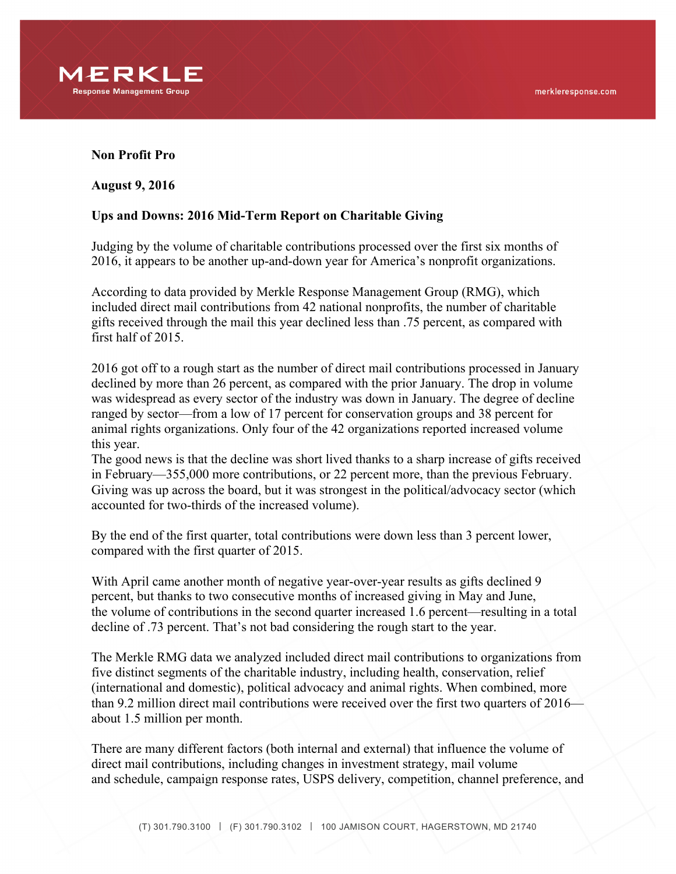

## **Non Profit Pro**

**August 9, 2016**

## **Ups and Downs: 2016 Mid-Term Report on Charitable Giving**

Judging by the volume of charitable contributions processed over the first six months of 2016, it appears to be another up-and-down year for America's nonprofit organizations.

According to data provided by Merkle Response Management Group (RMG), which included direct mail contributions from 42 national nonprofits, the number of charitable gifts received through the mail this year declined less than .75 percent, as compared with first half of 2015.

2016 got off to a rough start as the number of direct mail contributions processed in January declined by more than 26 percent, as compared with the prior January. The drop in volume was widespread as every sector of the industry was down in January. The degree of decline ranged by sector—from a low of 17 percent for conservation groups and 38 percent for animal rights organizations. Only four of the 42 organizations reported increased volume this year.

The good news is that the decline was short lived thanks to a sharp increase of gifts received in February—355,000 more contributions, or 22 percent more, than the previous February. Giving was up across the board, but it was strongest in the political/advocacy sector (which accounted for two-thirds of the increased volume).

By the end of the first quarter, total contributions were down less than 3 percent lower, compared with the first quarter of 2015.

With April came another month of negative year-over-year results as gifts declined 9 percent, but thanks to two consecutive months of increased giving in May and June, the volume of contributions in the second quarter increased 1.6 percent—resulting in a total decline of .73 percent. That's not bad considering the rough start to the year.

The Merkle RMG data we analyzed included direct mail contributions to organizations from five distinct segments of the charitable industry, including health, conservation, relief (international and domestic), political advocacy and animal rights. When combined, more than 9.2 million direct mail contributions were received over the first two quarters of 2016 about 1.5 million per month.

There are many different factors (both internal and external) that influence the volume of direct mail contributions, including changes in investment strategy, mail volume and schedule, campaign response rates, USPS delivery, competition, channel preference, and